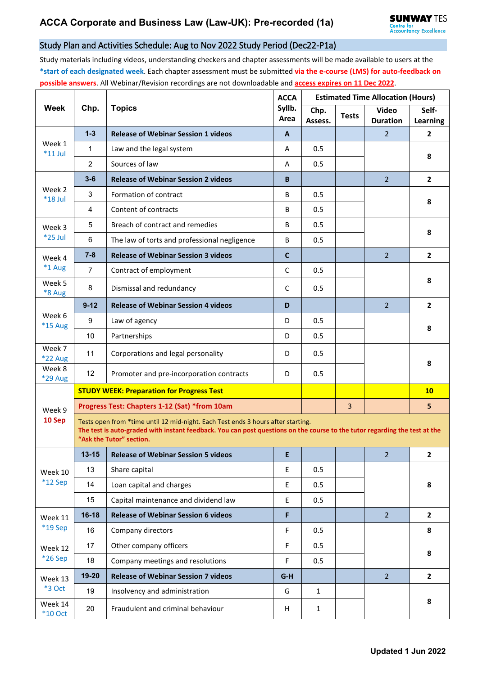## Study Plan and Activities Schedule: Aug to Nov 2022 Study Period (Dec22-P1a)

Study materials including videos, understanding checkers and chapter assessments will be made available to users at the **\*start of each designated week**. Each chapter assessment must be submitted **via the e-course (LMS) for auto-feedback on possible answers**. All Webinar/Revision recordings are not downloadable and **access expires on 11 Dec 2022**.

| <b>Week</b>              | Chp.                                                                                                                                                                                                                                       | <b>Topics</b>                                | <b>ACCA</b><br>Syllb.<br>Area | <b>Estimated Time Allocation (Hours)</b>                                                                             |                |                                 |                   |  |  |
|--------------------------|--------------------------------------------------------------------------------------------------------------------------------------------------------------------------------------------------------------------------------------------|----------------------------------------------|-------------------------------|----------------------------------------------------------------------------------------------------------------------|----------------|---------------------------------|-------------------|--|--|
|                          |                                                                                                                                                                                                                                            |                                              |                               | Chp.<br>Assess.                                                                                                      | <b>Tests</b>   | <b>Video</b><br><b>Duration</b> | Self-<br>Learning |  |  |
| Week 1<br>$*11$ Jul      | $1 - 3$                                                                                                                                                                                                                                    | <b>Release of Webinar Session 1 videos</b>   | A                             |                                                                                                                      |                | $\overline{2}$                  | $\mathbf{2}$      |  |  |
|                          | 1                                                                                                                                                                                                                                          | Law and the legal system                     | Α                             | 0.5                                                                                                                  |                |                                 | 8                 |  |  |
|                          | $\overline{2}$                                                                                                                                                                                                                             | Sources of law                               | A                             | 0.5                                                                                                                  |                |                                 |                   |  |  |
|                          | $3 - 6$                                                                                                                                                                                                                                    | <b>Release of Webinar Session 2 videos</b>   | B                             |                                                                                                                      |                | $\overline{2}$                  | $\overline{2}$    |  |  |
| Week 2<br>$*18$ Jul      | 3                                                                                                                                                                                                                                          | Formation of contract                        | B                             | 0.5                                                                                                                  |                |                                 | 8                 |  |  |
|                          | $\overline{4}$                                                                                                                                                                                                                             | Content of contracts                         | B                             | 0.5                                                                                                                  |                |                                 |                   |  |  |
| Week 3<br>*25 Jul        | 5                                                                                                                                                                                                                                          | Breach of contract and remedies              | B                             | 0.5                                                                                                                  |                |                                 | 8                 |  |  |
|                          | 6                                                                                                                                                                                                                                          | The law of torts and professional negligence | B                             | 0.5                                                                                                                  |                |                                 |                   |  |  |
| Week 4<br>*1 Aug         | $7 - 8$                                                                                                                                                                                                                                    | <b>Release of Webinar Session 3 videos</b>   | $\mathbf c$                   |                                                                                                                      |                | $\overline{2}$                  | $\mathbf{2}$      |  |  |
|                          | $\overline{7}$                                                                                                                                                                                                                             | Contract of employment                       | $\mathsf{C}$                  | 0.5                                                                                                                  |                |                                 |                   |  |  |
| Week 5<br>*8 Aug         | 8                                                                                                                                                                                                                                          | Dismissal and redundancy                     | C                             | 0.5                                                                                                                  |                |                                 | 8                 |  |  |
| Week 6<br>*15 Aug        | $9 - 12$                                                                                                                                                                                                                                   | <b>Release of Webinar Session 4 videos</b>   | D                             |                                                                                                                      |                | $\overline{2}$                  | $\overline{2}$    |  |  |
|                          | 9                                                                                                                                                                                                                                          | Law of agency                                | D                             | 0.5                                                                                                                  |                |                                 | 8                 |  |  |
|                          | 10                                                                                                                                                                                                                                         | Partnerships                                 | D                             | 0.5                                                                                                                  |                |                                 |                   |  |  |
| Week 7<br><b>*22 Aug</b> | 11                                                                                                                                                                                                                                         | Corporations and legal personality           | D                             | 0.5                                                                                                                  |                |                                 |                   |  |  |
| Week 8<br>*29 Aug        | 12                                                                                                                                                                                                                                         | Promoter and pre-incorporation contracts     | D                             | 0.5                                                                                                                  |                |                                 | 8                 |  |  |
|                          | <b>STUDY WEEK: Preparation for Progress Test</b>                                                                                                                                                                                           |                                              |                               |                                                                                                                      |                |                                 | 10                |  |  |
| Week 9<br>10 Sep         | Progress Test: Chapters 1-12 (Sat) *from 10am                                                                                                                                                                                              |                                              |                               |                                                                                                                      | $\overline{3}$ |                                 | 5                 |  |  |
|                          | Tests open from *time until 12 mid-night. Each Test ends 3 hours after starting.<br>The test is auto-graded with instant feedback. You can post questions on the course to the tutor regarding the test at the<br>"Ask the Tutor" section. |                                              |                               |                                                                                                                      |                |                                 |                   |  |  |
| Week 10<br>*12 Sep       | $13 - 15$                                                                                                                                                                                                                                  | <b>Release of Webinar Session 5 videos</b>   | E                             | <u> Tanzania de la contrada de la contrada de la contrada de la contrada de la contrada de la contrada de la con</u> |                | $\overline{2}$                  | $\overline{2}$    |  |  |
|                          | 13                                                                                                                                                                                                                                         | Share capital                                | E.                            | 0.5                                                                                                                  |                |                                 |                   |  |  |
|                          | 14                                                                                                                                                                                                                                         | Loan capital and charges                     | E                             | 0.5                                                                                                                  |                |                                 | 8                 |  |  |
|                          | 15                                                                                                                                                                                                                                         | Capital maintenance and dividend law         | E.                            | 0.5                                                                                                                  |                |                                 |                   |  |  |
| Week 11                  | $16 - 18$                                                                                                                                                                                                                                  | <b>Release of Webinar Session 6 videos</b>   | F                             |                                                                                                                      |                | 2 <sup>2</sup>                  | $\overline{2}$    |  |  |
| $*19$ Sep                | 16                                                                                                                                                                                                                                         | Company directors                            | F                             | 0.5                                                                                                                  |                |                                 | 8                 |  |  |
| Week 12<br>*26 Sep       | 17                                                                                                                                                                                                                                         | Other company officers                       | F                             | 0.5                                                                                                                  |                |                                 | 8                 |  |  |
|                          | 18                                                                                                                                                                                                                                         | Company meetings and resolutions             | F                             | 0.5                                                                                                                  |                |                                 |                   |  |  |
| Week 13<br><b>*3 Oct</b> | 19-20                                                                                                                                                                                                                                      | <b>Release of Webinar Session 7 videos</b>   | $G-H$                         |                                                                                                                      |                | $\overline{2}$                  | $\overline{2}$    |  |  |
|                          | 19                                                                                                                                                                                                                                         | Insolvency and administration                | G                             | $\mathbf{1}$                                                                                                         |                |                                 |                   |  |  |
| Week 14<br>$*10$ Oct     | 20                                                                                                                                                                                                                                         | Fraudulent and criminal behaviour            | H                             | $\mathbf{1}$                                                                                                         |                |                                 | 8                 |  |  |